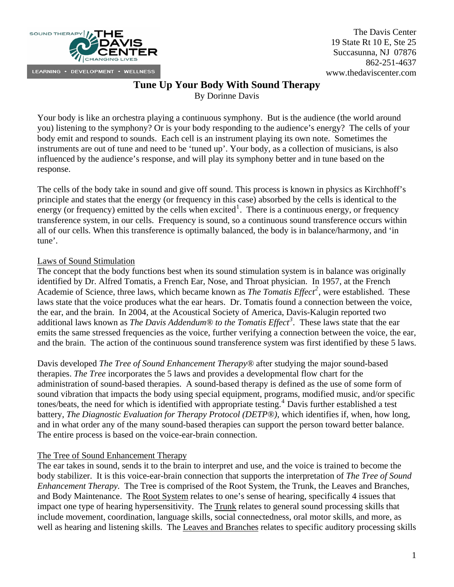

The Davis Center 19 State Rt 10 E, Ste 25 Succasunna, NJ 07876 862-251-4637 www.thedaviscenter.com

# **Tune Up Your Body With Sound Therapy**

By Dorinne Davis

Your body is like an orchestra playing a continuous symphony. But is the audience (the world around you) listening to the symphony? Or is your body responding to the audience's energy? The cells of your body emit and respond to sounds. Each cell is an instrument playing its own note. Sometimes the instruments are out of tune and need to be 'tuned up'. Your body, as a collection of musicians, is also influenced by the audience's response, and will play its symphony better and in tune based on the response.

The cells of the body take in sound and give off sound. This process is known in physics as Kirchhoff's principle and states that the energy (or frequency in this case) absorbed by the cells is identical to the energy (or frequency) emitted by the cells when excited<sup>[1](#page-1-0)</sup>. There is a continuous energy, or frequency transference system, in our cells. Frequency is sound, so a continuous sound transference occurs within all of our cells. When this transference is optimally balanced, the body is in balance/harmony, and 'in tune'.

# Laws of Sound Stimulation

The concept that the body functions best when its sound stimulation system is in balance was originally identified by Dr. Alfred Tomatis, a French Ear, Nose, and Throat physician. In 1957, at the French Academie of Science, three laws, which became known as *The Tomatis Effect[2](#page-1-1)* , were established. These laws state that the voice produces what the ear hears. Dr. Tomatis found a connection between the voice, the ear, and the brain. In 2004, at the Acoustical Society of America, Davis-Kalugin reported two additional laws known as *The Davis Addendum® to the Tomatis Effect[3](#page-1-1) .* These laws state that the ear emits the same stressed frequencies as the voice, further verifying a connection between the voice, the ear, and the brain. The action of the continuous sound transference system was first identified by these 5 laws.

Davis developed *The Tree of Sound Enhancement Therapy®* after studying the major sound-based therapies. *The Tree* incorporates the 5 laws and provides a developmental flow chart for the administration of sound-based therapies. A sound-based therapy is defined as the use of some form of sound vibration that impacts the body using special equipment, programs, modified music, and/or specific tones/beats, the need for which is identified with appropriate testing.<sup>[4](#page-1-1)</sup> Davis further established a test battery, *The Diagnostic Evaluation for Therapy Protocol (DETP®)*, which identifies if, when, how long, and in what order any of the many sound-based therapies can support the person toward better balance. The entire process is based on the voice-ear-brain connection.

## The Tree of Sound Enhancement Therapy

The ear takes in sound, sends it to the brain to interpret and use, and the voice is trained to become the body stabilizer. It is this voice-ear-brain connection that supports the interpretation of *The Tree of Sound Enhancement Therapy.* The Tree is comprised of the Root System, the Trunk, the Leaves and Branches, and Body Maintenance. The Root System relates to one's sense of hearing, specifically 4 issues that impact one type of hearing hypersensitivity. The Trunk relates to general sound processing skills that include movement, coordination, language skills, social connectedness, oral motor skills, and more, as well as hearing and listening skills. The Leaves and Branches relates to specific auditory processing skills